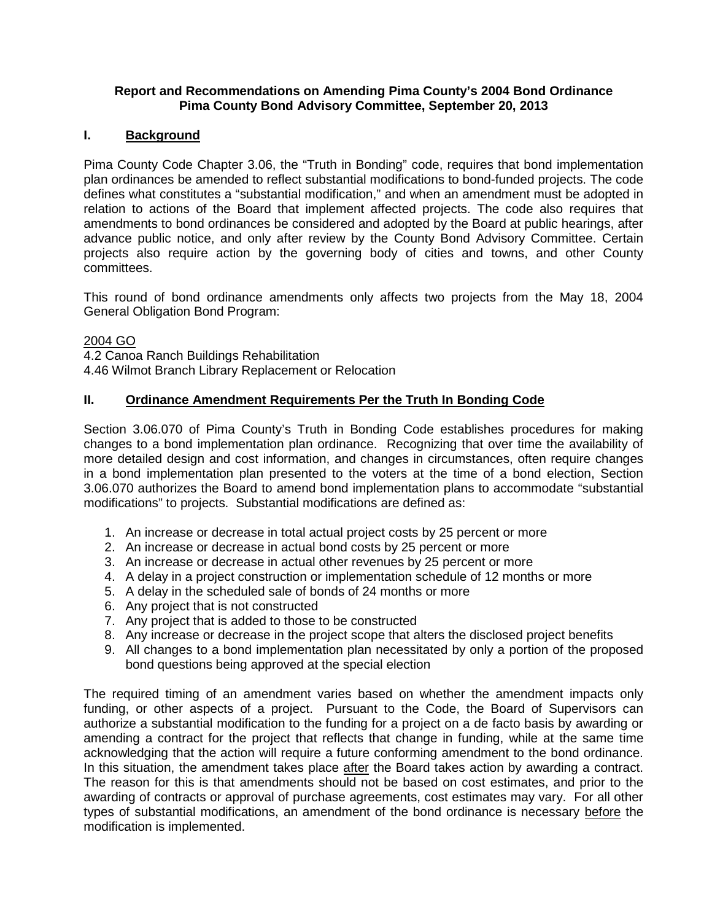## **Report and Recommendations on Amending Pima County's 2004 Bond Ordinance Pima County Bond Advisory Committee, September 20, 2013**

# **I. Background**

Pima County Code Chapter 3.06, the "Truth in Bonding" code, requires that bond implementation plan ordinances be amended to reflect substantial modifications to bond-funded projects. The code defines what constitutes a "substantial modification," and when an amendment must be adopted in relation to actions of the Board that implement affected projects. The code also requires that amendments to bond ordinances be considered and adopted by the Board at public hearings, after advance public notice, and only after review by the County Bond Advisory Committee. Certain projects also require action by the governing body of cities and towns, and other County committees.

This round of bond ordinance amendments only affects two projects from the May 18, 2004 General Obligation Bond Program:

## 2004 GO

4.2 Canoa Ranch Buildings Rehabilitation 4.46 Wilmot Branch Library Replacement or Relocation

# **II. Ordinance Amendment Requirements Per the Truth In Bonding Code**

Section 3.06.070 of Pima County's Truth in Bonding Code establishes procedures for making changes to a bond implementation plan ordinance. Recognizing that over time the availability of more detailed design and cost information, and changes in circumstances, often require changes in a bond implementation plan presented to the voters at the time of a bond election, Section 3.06.070 authorizes the Board to amend bond implementation plans to accommodate "substantial modifications" to projects. Substantial modifications are defined as:

- 1. An increase or decrease in total actual project costs by 25 percent or more
- 2. An increase or decrease in actual bond costs by 25 percent or more
- 3. An increase or decrease in actual other revenues by 25 percent or more
- 4. A delay in a project construction or implementation schedule of 12 months or more
- 5. A delay in the scheduled sale of bonds of 24 months or more
- 6. Any project that is not constructed
- 7. Any project that is added to those to be constructed
- 8. Any increase or decrease in the project scope that alters the disclosed project benefits
- 9. All changes to a bond implementation plan necessitated by only a portion of the proposed bond questions being approved at the special election

The required timing of an amendment varies based on whether the amendment impacts only funding, or other aspects of a project. Pursuant to the Code, the Board of Supervisors can authorize a substantial modification to the funding for a project on a de facto basis by awarding or amending a contract for the project that reflects that change in funding, while at the same time acknowledging that the action will require a future conforming amendment to the bond ordinance. In this situation, the amendment takes place after the Board takes action by awarding a contract. The reason for this is that amendments should not be based on cost estimates, and prior to the awarding of contracts or approval of purchase agreements, cost estimates may vary. For all other types of substantial modifications, an amendment of the bond ordinance is necessary before the modification is implemented.